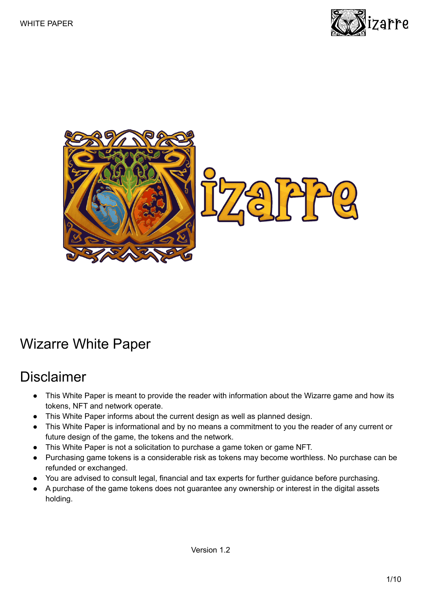



## <span id="page-0-0"></span>Wizarre White Paper

## <span id="page-0-1"></span>Disclaimer

- This White Paper is meant to provide the reader with information about the Wizarre game and how its tokens, NFT and network operate.
- This White Paper informs about the current design as well as planned design.
- This White Paper is informational and by no means a commitment to you the reader of any current or future design of the game, the tokens and the network.
- This White Paper is not a solicitation to purchase a game token or game NFT.
- Purchasing game tokens is a considerable risk as tokens may become worthless. No purchase can be refunded or exchanged.
- You are advised to consult legal, financial and tax experts for further guidance before purchasing.
- A purchase of the game tokens does not guarantee any ownership or interest in the digital assets holding.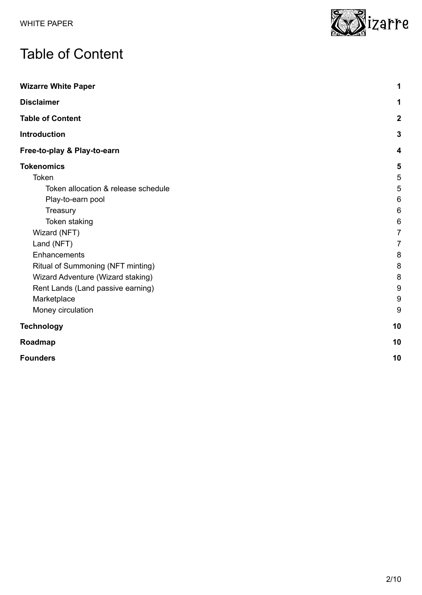# <span id="page-1-0"></span>Table of Content

| <b>Wizarre White Paper</b>          | 1                |
|-------------------------------------|------------------|
| <b>Disclaimer</b>                   | 1                |
| <b>Table of Content</b>             | $\boldsymbol{2}$ |
| <b>Introduction</b>                 | $\mathbf{3}$     |
| Free-to-play & Play-to-earn         | 4                |
| <b>Tokenomics</b>                   | 5                |
| Token                               | 5                |
| Token allocation & release schedule | $\sqrt{5}$       |
| Play-to-earn pool                   | 6                |
| Treasury                            | $\,6$            |
| Token staking                       | $\,6$            |
| Wizard (NFT)                        | $\overline{7}$   |
| Land (NFT)                          | $\overline{7}$   |
| Enhancements                        | 8                |
| Ritual of Summoning (NFT minting)   | 8                |
| Wizard Adventure (Wizard staking)   | 8                |
| Rent Lands (Land passive earning)   | 9                |
| Marketplace                         | $\boldsymbol{9}$ |
| Money circulation                   | $9\,$            |
| <b>Technology</b>                   | 10               |
| Roadmap                             | 10               |
| <b>Founders</b>                     | 10               |

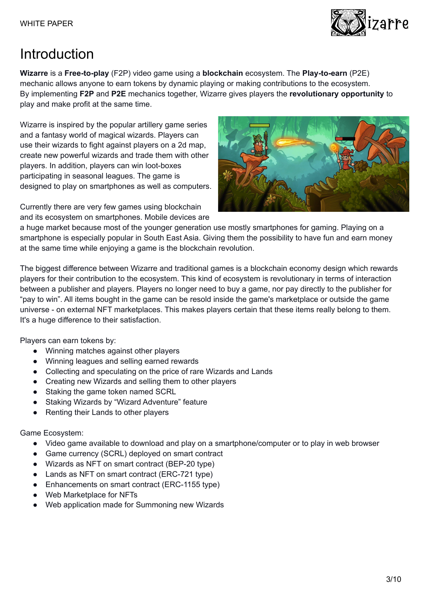

# <span id="page-2-0"></span>Introduction

**Wizarre** is a **Free-to-play** (F2P) video game using a **blockchain** ecosystem. The **Play-to-earn** (P2E) mechanic allows anyone to earn tokens by dynamic playing or making contributions to the ecosystem. By implementing **F2P** and **P2E** mechanics together, Wizarre gives players the **revolutionary opportunity** to play and make profit at the same time.

Wizarre is inspired by the popular artillery game series and a fantasy world of magical wizards. Players can use their wizards to fight against players on a 2d map, create new powerful wizards and trade them with other players. In addition, players can win loot-boxes participating in seasonal leagues. The game is designed to play on smartphones as well as computers.

Currently there are very few games using blockchain and its ecosystem on smartphones. Mobile devices are



a huge market because most of the younger generation use mostly smartphones for gaming. Playing on a smartphone is especially popular in South East Asia. Giving them the possibility to have fun and earn money at the same time while enjoying a game is the blockchain revolution.

The biggest difference between Wizarre and traditional games is a blockchain economy design which rewards players for their contribution to the ecosystem. This kind of ecosystem is revolutionary in terms of interaction between a publisher and players. Players no longer need to buy a game, nor pay directly to the publisher for "pay to win". All items bought in the game can be resold inside the game's marketplace or outside the game universe - on external NFT marketplaces. This makes players certain that these items really belong to them. It's a huge difference to their satisfaction.

Players can earn tokens by:

- Winning matches against other players
- Winning leagues and selling earned rewards
- Collecting and speculating on the price of rare Wizards and Lands
- Creating new Wizards and selling them to other players
- Staking the game token named SCRL
- Staking Wizards by "Wizard Adventure" feature
- Renting their Lands to other players

Game Ecosystem:

- Video game available to download and play on a smartphone/computer or to play in web browser
- Game currency (SCRL) deployed on smart contract
- Wizards as NFT on smart contract (BEP-20 type)
- Lands as NFT on smart contract (ERC-721 type)
- Enhancements on smart contract (ERC-1155 type)
- Web Marketplace for NFTs
- Web application made for Summoning new Wizards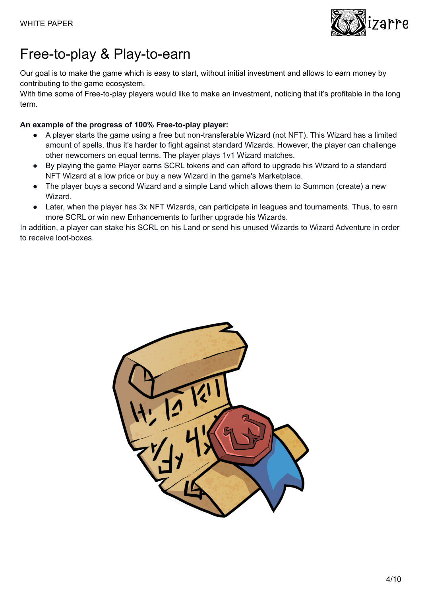

## <span id="page-3-0"></span>Free-to-play & Play-to-earn

Our goal is to make the game which is easy to start, without initial investment and allows to earn money by contributing to the game ecosystem.

With time some of Free-to-play players would like to make an investment, noticing that it's profitable in the long term.

#### **An example of the progress of 100% Free-to-play player:**

- A player starts the game using a free but non-transferable Wizard (not NFT). This Wizard has a limited amount of spells, thus it's harder to fight against standard Wizards. However, the player can challenge other newcomers on equal terms. The player plays 1v1 Wizard matches.
- By playing the game Player earns SCRL tokens and can afford to upgrade his Wizard to a standard NFT Wizard at a low price or buy a new Wizard in the game's Marketplace.
- The player buys a second Wizard and a simple Land which allows them to Summon (create) a new Wizard.
- Later, when the player has 3x NFT Wizards, can participate in leagues and tournaments. Thus, to earn more SCRL or win new Enhancements to further upgrade his Wizards.

In addition, a player can stake his SCRL on his Land or send his unused Wizards to Wizard Adventure in order to receive loot-boxes.

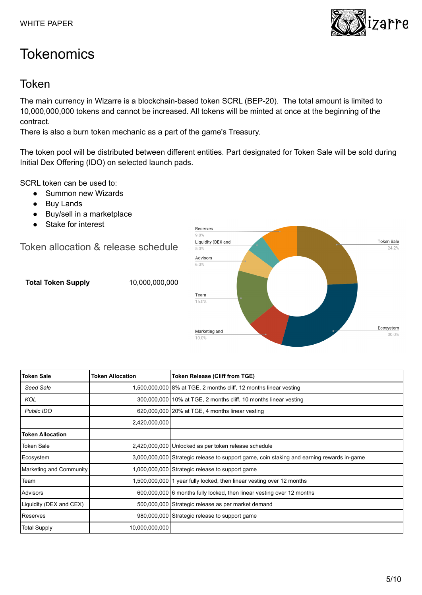# <span id="page-4-0"></span>**Tokenomics**

### <span id="page-4-1"></span>Token

The main currency in Wizarre is a blockchain-based token SCRL (BEP-20). The total amount is limited to 10,000,000,000 tokens and cannot be increased. All tokens will be minted at once at the beginning of the contract.

There is also a burn token mechanic as a part of the game's Treasury.

The token pool will be distributed between different entities. Part designated for Token Sale will be sold during Initial Dex Offering (IDO) on selected launch pads.

SCRL token can be used to:

- Summon new Wizards
- Buy Lands
- Buy/sell in a marketplace
- Stake for interest

<span id="page-4-2"></span>Token allocation & release schedule

**Total Token Supply** 10,000,000,000



| <b>Token Sale</b>       | <b>Token Allocation</b> | <b>Token Release (Cliff from TGE)</b>                                                     |
|-------------------------|-------------------------|-------------------------------------------------------------------------------------------|
| Seed Sale               |                         | 1,500,000,000 8% at TGE, 2 months cliff, 12 months linear vesting                         |
| <b>KOL</b>              |                         | 300,000,000 10% at TGE, 2 months cliff, 10 months linear vesting                          |
| <b>Public IDO</b>       |                         | 620,000,000   20% at TGE, 4 months linear vesting                                         |
|                         | 2,420,000,000           |                                                                                           |
| <b>Token Allocation</b> |                         |                                                                                           |
| <b>Token Sale</b>       |                         | 2,420,000,000 Unlocked as per token release schedule                                      |
| Ecosystem               |                         | 3,000,000,000 Strategic release to support game, coin staking and earning rewards in-game |
| Marketing and Community |                         | 1,000,000,000 Strategic release to support game                                           |
| Team                    |                         | 1,500,000,000 1 year fully locked, then linear vesting over 12 months                     |
| Advisors                |                         | 600,000,000 6 months fully locked, then linear vesting over 12 months                     |
| Liquidity (DEX and CEX) |                         | 500,000,000 Strategic release as per market demand                                        |
| Reserves                |                         | 980,000,000 Strategic release to support game                                             |
| <b>Total Supply</b>     | 10,000,000,000          |                                                                                           |

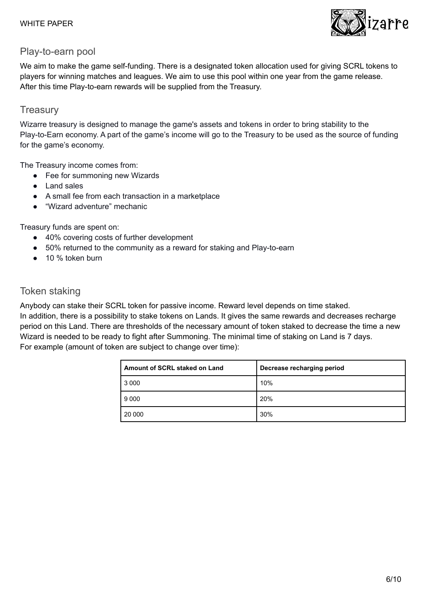

#### <span id="page-5-0"></span>Play-to-earn pool

We aim to make the game self-funding. There is a designated token allocation used for giving SCRL tokens to players for winning matches and leagues. We aim to use this pool within one year from the game release. After this time Play-to-earn rewards will be supplied from the Treasury.

#### <span id="page-5-1"></span>**Treasury**

Wizarre treasury is designed to manage the game's assets and tokens in order to bring stability to the Play-to-Earn economy. A part of the game's income will go to the Treasury to be used as the source of funding for the game's economy.

The Treasury income comes from:

- Fee for summoning new Wizards
- Land sales
- A small fee from each transaction in a marketplace
- "Wizard adventure" mechanic

Treasury funds are spent on:

- 40% covering costs of further development
- 50% returned to the community as a reward for staking and Play-to-earn
- 10 % token burn

#### <span id="page-5-2"></span>Token staking

Anybody can stake their SCRL token for passive income. Reward level depends on time staked.

In addition, there is a possibility to stake tokens on Lands. It gives the same rewards and decreases recharge period on this Land. There are thresholds of the necessary amount of token staked to decrease the time a new Wizard is needed to be ready to fight after Summoning. The minimal time of staking on Land is 7 days. For example (amount of token are subject to change over time):

| Amount of SCRL staked on Land | Decrease recharging period |
|-------------------------------|----------------------------|
| 3 0 0 0                       | 10%                        |
| 9 0 0 0                       | 20%                        |
| 20 000                        | 30%                        |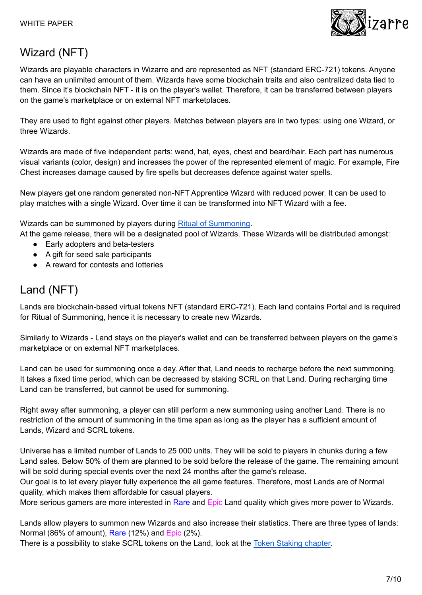

## <span id="page-6-0"></span>Wizard (NFT)

Wizards are playable characters in Wizarre and are represented as NFT (standard ERC-721) tokens. Anyone can have an unlimited amount of them. Wizards have some blockchain traits and also centralized data tied to them. Since it's blockchain NFT - it is on the player's wallet. Therefore, it can be transferred between players on the game's marketplace or on external NFT marketplaces.

They are used to fight against other players. Matches between players are in two types: using one Wizard, or three Wizards.

Wizards are made of five independent parts: wand, hat, eyes, chest and beard/hair. Each part has numerous visual variants (color, design) and increases the power of the represented element of magic. For example, Fire Chest increases damage caused by fire spells but decreases defence against water spells.

New players get one random generated non-NFT Apprentice Wizard with reduced power. It can be used to play matches with a single Wizard. Over time it can be transformed into NFT Wizard with a fee.

Wizards can be summoned by players during Ritual of [Summoning](#page-7-1).

At the game release, there will be a designated pool of Wizards. These Wizards will be distributed amongst:

- Early adopters and beta-testers
- A gift for seed sale participants
- A reward for contests and lotteries

### <span id="page-6-1"></span>Land (NFT)

Lands are blockchain-based virtual tokens NFT (standard ERC-721). Each land contains Portal and is required for Ritual of Summoning, hence it is necessary to create new Wizards.

Similarly to Wizards - Land stays on the player's wallet and can be transferred between players on the game's marketplace or on external NFT marketplaces.

Land can be used for summoning once a day. After that, Land needs to recharge before the next summoning. It takes a fixed time period, which can be decreased by staking SCRL on that Land. During recharging time Land can be transferred, but cannot be used for summoning.

Right away after summoning, a player can still perform a new summoning using another Land. There is no restriction of the amount of summoning in the time span as long as the player has a sufficient amount of Lands, Wizard and SCRL tokens.

Universe has a limited number of Lands to 25 000 units. They will be sold to players in chunks during a few Land sales. Below 50% of them are planned to be sold before the release of the game. The remaining amount will be sold during special events over the next 24 months after the game's release.

Our goal is to let every player fully experience the all game features. Therefore, most Lands are of Normal quality, which makes them affordable for casual players.

More serious gamers are more interested in Rare and Epic Land quality which gives more power to Wizards.

Lands allow players to summon new Wizards and also increase their statistics. There are three types of lands: Normal (86% of amount), Rare (12%) and Epic (2%).

There is a possibility to stake SCRL tokens on the Land, look at the Token [Staking](#page-5-2) chapter.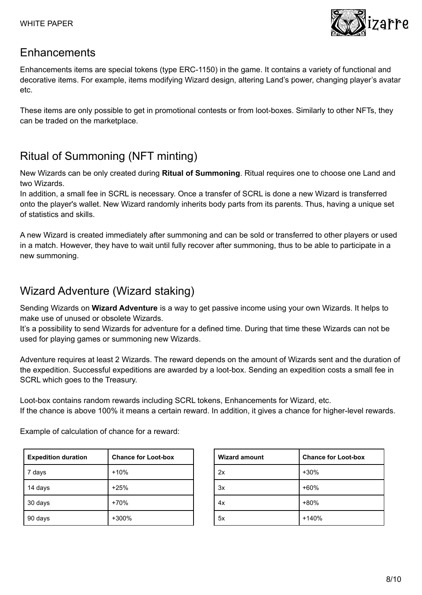

#### <span id="page-7-0"></span>Enhancements

Enhancements items are special tokens (type ERC-1150) in the game. It contains a variety of functional and decorative items. For example, items modifying Wizard design, altering Land's power, changing player's avatar etc.

These items are only possible to get in promotional contests or from loot-boxes. Similarly to other NFTs, they can be traded on the marketplace.

## <span id="page-7-1"></span>Ritual of Summoning (NFT minting)

New Wizards can be only created during **Ritual of Summoning**. Ritual requires one to choose one Land and two Wizards.

In addition, a small fee in SCRL is necessary. Once a transfer of SCRL is done a new Wizard is transferred onto the player's wallet. New Wizard randomly inherits body parts from its parents. Thus, having a unique set of statistics and skills.

A new Wizard is created immediately after summoning and can be sold or transferred to other players or used in a match. However, they have to wait until fully recover after summoning, thus to be able to participate in a new summoning.

### <span id="page-7-2"></span>Wizard Adventure (Wizard staking)

Sending Wizards on **Wizard Adventure** is a way to get passive income using your own Wizards. It helps to make use of unused or obsolete Wizards.

It's a possibility to send Wizards for adventure for a defined time. During that time these Wizards can not be used for playing games or summoning new Wizards.

Adventure requires at least 2 Wizards. The reward depends on the amount of Wizards sent and the duration of the expedition. Successful expeditions are awarded by a loot-box. Sending an expedition costs a small fee in SCRL which goes to the Treasury.

Loot-box contains random rewards including SCRL tokens, Enhancements for Wizard, etc. If the chance is above 100% it means a certain reward. In addition, it gives a chance for higher-level rewards.

Example of calculation of chance for a reward:

| <b>Expedition duration</b> | <b>Chance for Loot-box</b> |
|----------------------------|----------------------------|
| 7 days                     | $+10%$                     |
| 14 days                    | $+25%$                     |
| 30 days                    | $+70%$                     |
| 90 days                    | +300%                      |

| <b>Wizard amount</b> | <b>Chance for Loot-box</b> |
|----------------------|----------------------------|
| 2x                   | $+30%$                     |
| 3x                   | $+60%$                     |
| 4х                   | +80%                       |
| 5x                   | $+140%$                    |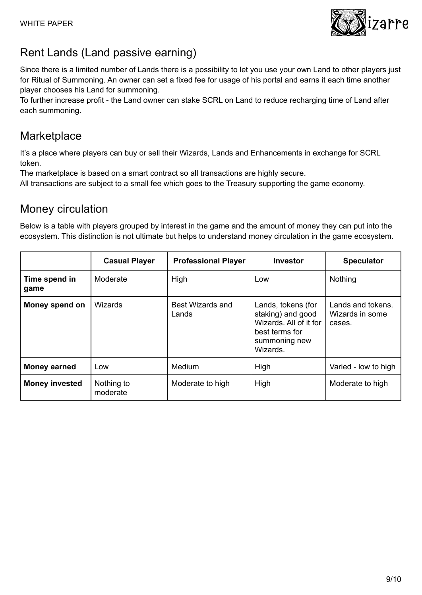

### <span id="page-8-0"></span>Rent Lands (Land passive earning)

Since there is a limited number of Lands there is a possibility to let you use your own Land to other players just for Ritual of Summoning. An owner can set a fixed fee for usage of his portal and earns it each time another player chooses his Land for summoning.

To further increase profit - the Land owner can stake SCRL on Land to reduce recharging time of Land after each summoning.

### <span id="page-8-1"></span>**Marketplace**

It's a place where players can buy or sell their Wizards, Lands and Enhancements in exchange for SCRL token.

The marketplace is based on a smart contract so all transactions are highly secure.

<span id="page-8-2"></span>All transactions are subject to a small fee which goes to the Treasury supporting the game economy.

### Money circulation

Below is a table with players grouped by interest in the game and the amount of money they can put into the ecosystem. This distinction is not ultimate but helps to understand money circulation in the game ecosystem.

|                       | <b>Casual Player</b>   | <b>Professional Player</b> | <b>Investor</b>                                                                                                  | <b>Speculator</b>                              |
|-----------------------|------------------------|----------------------------|------------------------------------------------------------------------------------------------------------------|------------------------------------------------|
| Time spend in<br>game | Moderate               | High                       | Low                                                                                                              | Nothing                                        |
| Money spend on        | <b>Wizards</b>         | Best Wizards and<br>Lands  | Lands, tokens (for<br>staking) and good<br>Wizards, All of it for<br>best terms for<br>summoning new<br>Wizards. | Lands and tokens.<br>Wizards in some<br>cases. |
| <b>Money earned</b>   | Low                    | Medium                     | High                                                                                                             | Varied - low to high                           |
| <b>Money invested</b> | Nothing to<br>moderate | Moderate to high           | High                                                                                                             | Moderate to high                               |